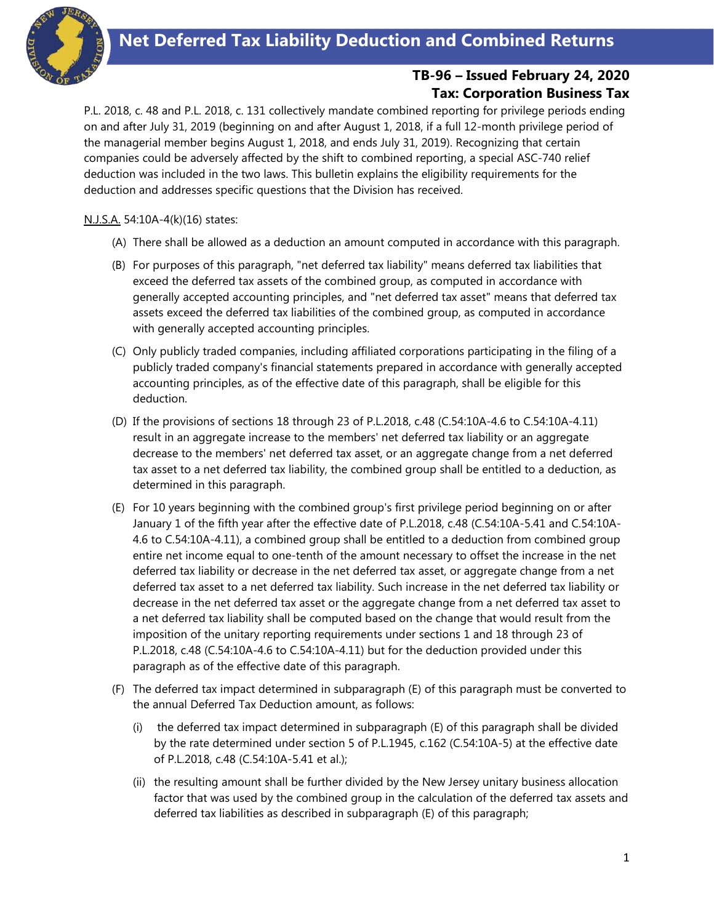

## **TB-96 – Issued February 24, 2020 Tax: Corporation Business Tax**

P.L. 2018, c. 48 and P.L. 2018, c. 131 collectively mandate combined reporting for privilege periods ending on and after July 31, 2019 (beginning on and after August 1, 2018, if a full 12-month privilege period of the managerial member begins August 1, 2018, and ends July 31, 2019). Recognizing that certain companies could be adversely affected by the shift to combined reporting, a special ASC-740 relief deduction was included in the two laws. This bulletin explains the eligibility requirements for the deduction and addresses specific questions that the Division has received.

N.J.S.A. 54:10A-4(k)(16) states:

- (A) There shall be allowed as a deduction an amount computed in accordance with this paragraph.
- (B) For purposes of this paragraph, "net deferred tax liability" means deferred tax liabilities that exceed the deferred tax assets of the combined group, as computed in accordance with generally accepted accounting principles, and "net deferred tax asset" means that deferred tax assets exceed the deferred tax liabilities of the combined group, as computed in accordance with generally accepted accounting principles.
- (C) Only publicly traded companies, including affiliated corporations participating in the filing of a publicly traded company's financial statements prepared in accordance with generally accepted accounting principles, as of the effective date of this paragraph, shall be eligible for this deduction.
- (D) If the provisions of sections 18 through 23 of P.L.2018, c.48 (C.54:10A-4.6 to C.54:10A-4.11) result in an aggregate increase to the members' net deferred tax liability or an aggregate decrease to the members' net deferred tax asset, or an aggregate change from a net deferred tax asset to a net deferred tax liability, the combined group shall be entitled to a deduction, as determined in this paragraph.
- (E) For 10 years beginning with the combined group's first privilege period beginning on or after January 1 of the fifth year after the effective date of P.L.2018, c.48 (C.54:10A-5.41 and C.54:10A-4.6 to C.54:10A-4.11), a combined group shall be entitled to a deduction from combined group entire net income equal to one-tenth of the amount necessary to offset the increase in the net deferred tax liability or decrease in the net deferred tax asset, or aggregate change from a net deferred tax asset to a net deferred tax liability. Such increase in the net deferred tax liability or decrease in the net deferred tax asset or the aggregate change from a net deferred tax asset to a net deferred tax liability shall be computed based on the change that would result from the imposition of the unitary reporting requirements under sections 1 and 18 through 23 of P.L.2018, c.48 (C.54:10A-4.6 to C.54:10A-4.11) but for the deduction provided under this paragraph as of the effective date of this paragraph.
- (F) The deferred tax impact determined in subparagraph (E) of this paragraph must be converted to the annual Deferred Tax Deduction amount, as follows:
	- (i) the deferred tax impact determined in subparagraph (E) of this paragraph shall be divided by the rate determined under section 5 of P.L.1945, c.162 (C.54:10A-5) at the effective date of P.L.2018, c.48 (C.54:10A-5.41 et al.);
	- (ii) the resulting amount shall be further divided by the New Jersey unitary business allocation factor that was used by the combined group in the calculation of the deferred tax assets and deferred tax liabilities as described in subparagraph (E) of this paragraph;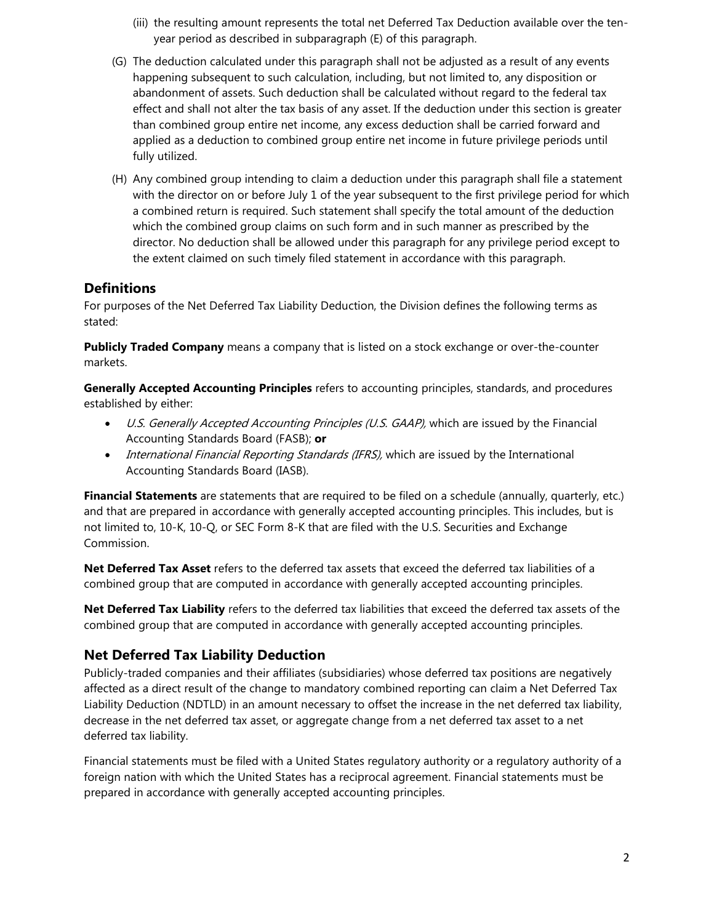- (iii) the resulting amount represents the total net Deferred Tax Deduction available over the tenyear period as described in subparagraph (E) of this paragraph.
- (G) The deduction calculated under this paragraph shall not be adjusted as a result of any events happening subsequent to such calculation, including, but not limited to, any disposition or abandonment of assets. Such deduction shall be calculated without regard to the federal tax effect and shall not alter the tax basis of any asset. If the deduction under this section is greater than combined group entire net income, any excess deduction shall be carried forward and applied as a deduction to combined group entire net income in future privilege periods until fully utilized.
- (H) Any combined group intending to claim a deduction under this paragraph shall file a statement with the director on or before July 1 of the year subsequent to the first privilege period for which a combined return is required. Such statement shall specify the total amount of the deduction which the combined group claims on such form and in such manner as prescribed by the director. No deduction shall be allowed under this paragraph for any privilege period except to the extent claimed on such timely filed statement in accordance with this paragraph.

## **Definitions**

For purposes of the Net Deferred Tax Liability Deduction, the Division defines the following terms as stated:

**Publicly Traded Company** means a company that is listed on a stock exchange or over-the-counter markets.

**Generally Accepted Accounting Principles** refers to accounting principles, standards, and procedures established by either:

- U.S. Generally Accepted Accounting Principles (U.S. GAAP), which are issued by the Financial Accounting Standards Board (FASB); **or**
- International Financial Reporting Standards (IFRS), which are issued by the International Accounting Standards Board (IASB).

**Financial Statements** are statements that are required to be filed on a schedule (annually, quarterly, etc.) and that are prepared in accordance with generally accepted accounting principles. This includes, but is not limited to, 10-K, 10-Q, or SEC Form 8-K that are filed with the U.S. Securities and Exchange Commission.

**Net Deferred Tax Asset** refers to the deferred tax assets that exceed the deferred tax liabilities of a combined group that are computed in accordance with generally accepted accounting principles.

**Net Deferred Tax Liability** refers to the deferred tax liabilities that exceed the deferred tax assets of the combined group that are computed in accordance with generally accepted accounting principles.

### **Net Deferred Tax Liability Deduction**

Publicly-traded companies and their affiliates (subsidiaries) whose deferred tax positions are negatively affected as a direct result of the change to mandatory combined reporting can claim a Net Deferred Tax Liability Deduction (NDTLD) in an amount necessary to offset the increase in the net deferred tax liability, decrease in the net deferred tax asset, or aggregate change from a net deferred tax asset to a net deferred tax liability.

Financial statements must be filed with a United States regulatory authority or a regulatory authority of a foreign nation with which the United States has a reciprocal agreement. Financial statements must be prepared in accordance with generally accepted accounting principles.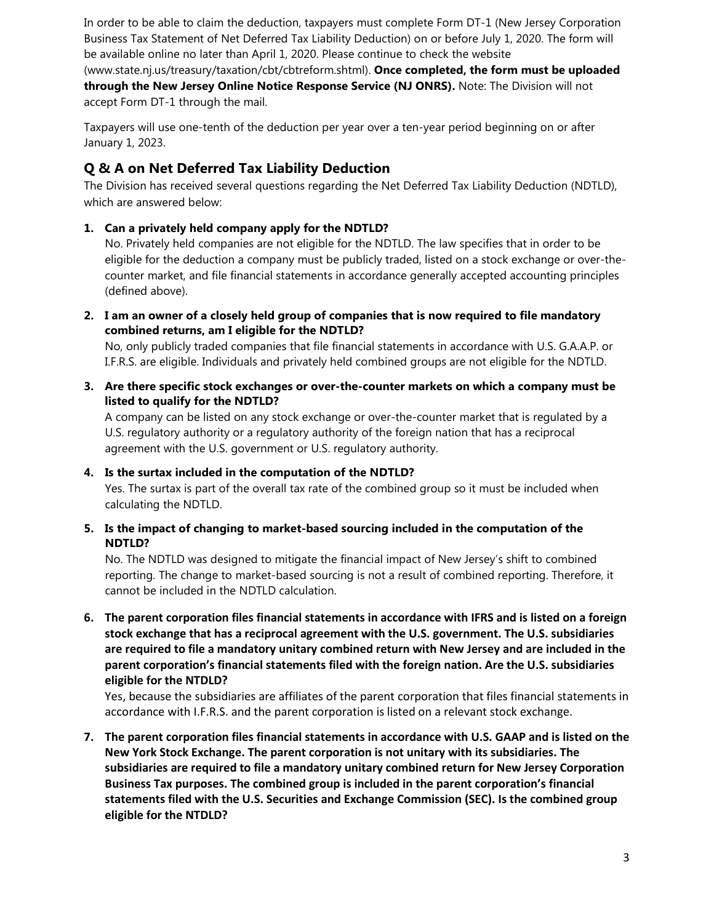In order to be able to claim the deduction, taxpayers must complete Form DT-1 (New Jersey Corporation Business Tax Statement of Net Deferred Tax Liability Deduction) on or before July 1, 2020. The form will be available online no later than April 1, 2020. Please continue to check the website [\(www.state.nj.us/treasury/taxation/cbt/cbtreform.shtml\)](http://www.state.nj.us/treasury/taxation/cbt/cbtreform.shtml). **Once completed, the form must be uploaded through the New Jersey Online Notice Response Service (NJ ONRS).** Note: The Division will not accept Form DT-1 through the mail.

Taxpayers will use one-tenth of the deduction per year over a ten-year period beginning on or after January 1, 2023.

# **Q & A on Net Deferred Tax Liability Deduction**

The Division has received several questions regarding the Net Deferred Tax Liability Deduction (NDTLD), which are answered below:

### **1. Can a privately held company apply for the NDTLD?**

No. Privately held companies are not eligible for the NDTLD. The law specifies that in order to be eligible for the deduction a company must be publicly traded, listed on a stock exchange or over-thecounter market, and file financial statements in accordance generally accepted accounting principles (defined above).

**2. I am an owner of a closely held group of companies that is now required to file mandatory combined returns, am I eligible for the NDTLD?**

No, only publicly traded companies that file financial statements in accordance with U.S. G.A.A.P. or I.F.R.S. are eligible. Individuals and privately held combined groups are not eligible for the NDTLD.

**3. Are there specific stock exchanges or over-the-counter markets on which a company must be listed to qualify for the NDTLD?**

A company can be listed on any stock exchange or over-the-counter market that is regulated by a U.S. regulatory authority or a regulatory authority of the foreign nation that has a reciprocal agreement with the U.S. government or U.S. regulatory authority.

### **4. Is the surtax included in the computation of the NDTLD?**

Yes. The surtax is part of the overall tax rate of the combined group so it must be included when calculating the NDTLD.

#### **5. Is the impact of changing to market-based sourcing included in the computation of the NDTLD?**

No. The NDTLD was designed to mitigate the financial impact of New Jersey's shift to combined reporting. The change to market-based sourcing is not a result of combined reporting. Therefore, it cannot be included in the NDTLD calculation.

**6. The parent corporation files financial statements in accordance with IFRS and is listed on a foreign stock exchange that has a reciprocal agreement with the U.S. government. The U.S. subsidiaries are required to file a mandatory unitary combined return with New Jersey and are included in the parent corporation's financial statements filed with the foreign nation. Are the U.S. subsidiaries eligible for the NTDLD?**

Yes, because the subsidiaries are affiliates of the parent corporation that files financial statements in accordance with I.F.R.S. and the parent corporation is listed on a relevant stock exchange.

**7. The parent corporation files financial statements in accordance with U.S. GAAP and is listed on the New York Stock Exchange. The parent corporation is not unitary with its subsidiaries. The subsidiaries are required to file a mandatory unitary combined return for New Jersey Corporation Business Tax purposes. The combined group is included in the parent corporation's financial statements filed with the U.S. Securities and Exchange Commission (SEC). Is the combined group eligible for the NTDLD?**